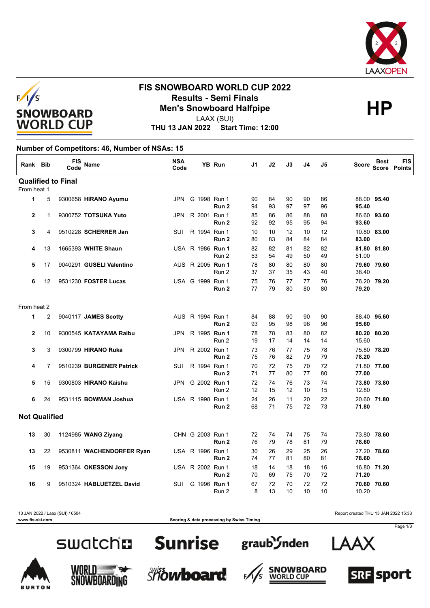



## **FIS SNOWBOARD WORLD CUP 2022 Results - Semi Finals<br>
Men's Snowboard Halfpipe<br>
HP**

LAAX (SUI)

**THU 13 JAN 2022 Start Time: 12:00**

### **Number of Competitors: 46, Number of NSAs: 15**

| Rank Bib             |              | <b>FIS</b><br>Code        | <b>Name</b>               | <b>NSA</b><br>Code |                         | <b>YB Run</b>    | J1       | J2       | J3       | J4       | J5       | Score          | <b>Best</b><br>Score | <b>FIS</b><br>Points |
|----------------------|--------------|---------------------------|---------------------------|--------------------|-------------------------|------------------|----------|----------|----------|----------|----------|----------------|----------------------|----------------------|
|                      |              | <b>Qualified to Final</b> |                           |                    |                         |                  |          |          |          |          |          |                |                      |                      |
| From heat 1          |              |                           |                           |                    |                         |                  |          |          |          |          |          |                |                      |                      |
| 1                    | 5            |                           | 9300658 HIRANO Ayumu      |                    | JPN G 1998 Run 1        | Run <sub>2</sub> | 90<br>94 | 84<br>93 | 90<br>97 | 90<br>97 | 86<br>96 | 95.40          | 88.00 95.40          |                      |
| $\mathbf{2}$         | $\mathbf{1}$ |                           | 9300752 TOTSUKA Yuto      | JPN.               | R 2001 Run 1            | Run 2            | 85<br>92 | 86<br>92 | 86<br>95 | 88<br>95 | 88<br>94 | 93.60          | 86.60 93.60          |                      |
| 3                    | 4            |                           | 9510228 SCHERRER Jan      | <b>SUI</b>         | R 1994 Run 1            | Run 2            | 10<br>80 | 10<br>83 | 12<br>84 | 10<br>84 | 12<br>84 | 10.80<br>83.00 | 83.00                |                      |
| 4                    | 13           |                           | 1665393 WHITE Shaun       |                    | USA R 1986 Run 1        | Run 2            | 82<br>53 | 82<br>54 | 81<br>49 | 82<br>50 | 82<br>49 | 51.00          | 81.80 81.80          |                      |
| 5                    | 17           |                           | 9040291 GUSELI Valentino  |                    | AUS R 2005 <b>Run 1</b> | Run 2            | 78<br>37 | 80<br>37 | 80<br>35 | 80<br>43 | 80<br>40 | 38.40          | 79.60 79.60          |                      |
| 6                    | 12           |                           | 9531230 FOSTER Lucas      |                    | USA G 1999 Run 1        | Run 2            | 75<br>77 | 76<br>79 | 77<br>80 | 77<br>80 | 76<br>80 | 79.20          | 76.20 79.20          |                      |
| From heat 2          |              |                           |                           |                    |                         |                  |          |          |          |          |          |                |                      |                      |
| 1                    | 2            |                           | 9040117 JAMES Scotty      |                    | AUS R 1994 Run 1        | Run 2            | 84<br>93 | 88<br>95 | 90<br>98 | 90<br>96 | 90<br>96 | 95.60          | 88.40 95.60          |                      |
| $\mathbf{2}$         | 10           |                           | 9300545 KATAYAMA Raibu    | <b>JPN</b>         | R 1995 Run 1            | Run 2            | 78<br>19 | 78<br>17 | 83<br>14 | 80<br>14 | 82<br>14 | 15.60          | 80.20 80.20          |                      |
| 3                    | 3            |                           | 9300799 HIRANO Ruka       | JPN                | R 2002 Run 1            | Run 2            | 73<br>75 | 76<br>76 | 77<br>82 | 75<br>79 | 78<br>79 | 78.20          | 75.80 78.20          |                      |
| 4                    | 7            |                           | 9510239 BURGENER Patrick  | SUI                | R 1994 Run 1            | Run <sub>2</sub> | 70<br>71 | 72<br>77 | 75<br>80 | 70<br>77 | 72<br>80 | 77.00          | 71.80 77.00          |                      |
| 5                    | 15           |                           | 9300803 HIRANO Kaishu     | <b>JPN</b>         | G 2002 Run 1            | Run 2            | 72<br>12 | 74<br>15 | 76<br>12 | 73<br>10 | 74<br>15 | 12.80          | 73.80 73.80          |                      |
| 6                    | 24           |                           | 9531115 BOWMAN Joshua     |                    | USA R 1998 Run 1        | Run 2            | 24<br>68 | 26<br>71 | 11<br>75 | 20<br>72 | 22<br>73 | 71.80          | 20.60 71.80          |                      |
| <b>Not Qualified</b> |              |                           |                           |                    |                         |                  |          |          |          |          |          |                |                      |                      |
| 13                   | 30           |                           | 1124985 WANG Ziyang       |                    | CHN G 2003 Run 1        | Run <sub>2</sub> | 72<br>76 | 74<br>79 | 74<br>78 | 75<br>81 | 74<br>79 | 78.60          | 73.80 78.60          |                      |
| 13                   | 22           |                           | 9530811 WACHENDORFER Ryan |                    | USA R 1996 Run 1        | Run <sub>2</sub> | 30<br>74 | 26<br>77 | 29<br>81 | 25<br>80 | 26<br>81 | 78.60          | 27.20 78.60          |                      |
| 15                   | 19           |                           | 9531364 OKESSON Joey      |                    | USA R 2002 Run 1        | Run 2            | 18<br>70 | 14<br>69 | 18<br>75 | 18<br>70 | 16<br>72 | 71.20          | 16.80 71.20          |                      |
| 16                   | 9            |                           | 9510324 HABLUETZEL David  | <b>SUI</b>         | G 1996 Run 1            | Run 2            | 67<br>8  | 72<br>13 | 70<br>10 | 72<br>10 | 72<br>10 | 10.20          | 70.60 70.60          |                      |

13 JAN 2022 / Laax (SUI) / 6504 Report created THU 13 JAN 2022 15:33

**SRF** sport

Page 1/3

SWatchn Sunrise graub Snden

**www.fis-ski.com Scoring & data processing by Swiss Timing**











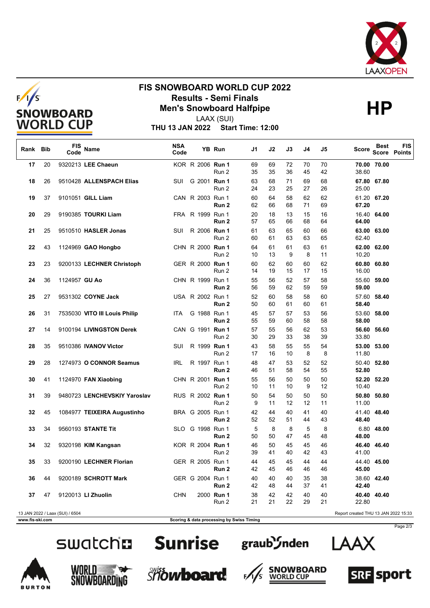



## **FIS SNOWBOARD WORLD CUP 2022 Results - Semi Finals<br>
Men's Snowboard Halfpipe<br>
HP**



LAAX (SUI)

**THU 13 JAN 2022 Start Time: 12:00**

| Rank Bib        |    | FIS<br>Code                     | <b>Name</b>                   | <b>NSA</b><br>Code |                  | YB Run              | J1                                        | J2       | J3       | J4       | J5       | Score                                | Best        | <b>FIS</b><br><b>Score Points</b> |
|-----------------|----|---------------------------------|-------------------------------|--------------------|------------------|---------------------|-------------------------------------------|----------|----------|----------|----------|--------------------------------------|-------------|-----------------------------------|
| 17              | 20 |                                 | 9320213 LEE Chaeun            |                    | KOR R 2006 Run 1 | Run 2               | 69<br>35                                  | 69<br>35 | 72<br>36 | 70<br>45 | 70<br>42 | 38.60                                | 70.00 70.00 |                                   |
| 18              | 26 |                                 | 9510428 ALLENSPACH Elias      | SUI                | G 2001 Run 1     | Run 2               | 63<br>24                                  | 68<br>23 | 71<br>25 | 69<br>27 | 68<br>26 | 25.00                                | 67.80 67.80 |                                   |
| 19              | 37 |                                 | 9101051 GILL Liam             |                    | CAN R 2003 Run 1 | Run 2               | 60<br>62                                  | 64<br>66 | 58<br>68 | 62<br>71 | 62<br>69 | 67.20                                | 61.20 67.20 |                                   |
| 20              | 29 |                                 | 9190385 TOURKI Liam           |                    | FRA R 1999 Run 1 | Run 2               | 20<br>57                                  | 18<br>65 | 13<br>66 | 15<br>68 | 16<br>64 | 64.00                                | 16.40 64.00 |                                   |
| 21              | 25 |                                 | 9510510 HASLER Jonas          | SUI                | R 2006 Run 1     | Run 2               | 61<br>60                                  | 63<br>61 | 65<br>63 | 60<br>63 | 66<br>65 | 62.40                                | 63.00 63.00 |                                   |
| 22              | 43 |                                 | 1124969 GAO Hongbo            |                    | CHN R 2000 Run 1 | Run 2               | 64<br>10                                  | 61<br>13 | 61<br>9  | 63<br>8  | 61<br>11 | 10.20                                | 62.00 62.00 |                                   |
| 23              | 23 |                                 | 9200133 LECHNER Christoph     |                    | GER R 2000 Run 1 | Run 2               | 60<br>14                                  | 62<br>19 | 60<br>15 | 60<br>17 | 62<br>15 | 60.80<br>16.00                       | 60.80       |                                   |
| 24              | 36 | 1124957 GU Ao                   |                               |                    | CHN R 1999 Run 1 | Run 2               | 55<br>56                                  | 56<br>59 | 52<br>62 | 57<br>59 | 58<br>59 | 55.60<br>59.00                       | 59.00       |                                   |
| 25              | 27 |                                 | 9531302 COYNE Jack            |                    | USA R 2002 Run 1 | Run 2               | 52<br>50                                  | 60<br>60 | 58<br>61 | 58<br>60 | 60<br>61 | 57.60<br>58.40                       | 58.40       |                                   |
| 26              | 31 |                                 | 7535030 VITO III Louis Philip | ITA                | G 1988 Run 1     | Run 2               | 45<br>55                                  | 57<br>59 | 57<br>60 | 53<br>58 | 56<br>58 | 53.60<br>58.00                       | 58.00       |                                   |
| 27              | 14 |                                 | 9100194 LIVINGSTON Derek      |                    | CAN G 1991 Run 1 | Run 2               | 57<br>30                                  | 55<br>29 | 56<br>33 | 62<br>38 | 53<br>39 | 56.60<br>33.80                       | 56.60       |                                   |
| 28              | 35 |                                 | 9510386 IVANOV Victor         | SUI                | R 1999 Run 1     | Run 2               | 43<br>17                                  | 58<br>16 | 55<br>10 | 55<br>8  | 54<br>8  | 53.00<br>11.80                       | 53.00       |                                   |
| 29              | 28 |                                 | 1274973 O CONNOR Seamus       | IRL                | R 1997 Run 1     | Run 2               | 48<br>46                                  | 47<br>51 | 53<br>58 | 52<br>54 | 52<br>55 | 52.80                                | 50.40 52.80 |                                   |
| 30              | 41 |                                 | 1124970 FAN Xiaobing          |                    | CHN R 2001 Run 1 | Run 2               | 55<br>10                                  | 56<br>11 | 50<br>10 | 50<br>9  | 50<br>12 | 10.40                                | 52.20 52.20 |                                   |
| 31              | 39 |                                 | 9480723 LENCHEVSKIY Yaroslav  |                    | RUS R 2002 Run 1 | Run 2               | 50<br>9                                   | 54<br>11 | 50<br>12 | 50<br>12 | 50<br>11 | 50.80<br>11.00                       | 50.80       |                                   |
| 32              | 45 |                                 | 1084977 TEIXEIRA Augustinho   |                    | BRA G 2005 Run 1 | Run 2               | 42<br>52                                  | 44<br>52 | 40<br>51 | 41<br>44 | 40<br>43 | 48.40                                | 41.40 48.40 |                                   |
| 33              | 34 |                                 | 9560193 STANTE Tit            |                    | SLO G 1998 Run 1 | Run 2               | 5<br>50                                   | 8<br>50  | 8<br>47  | 5<br>45  | 8<br>48  | 48.00                                | 6.80 48.00  |                                   |
| 34              | 32 |                                 | 9320198 KIM Kangsan           |                    | KOR R 2004 Run 1 | Run 2               | 46<br>39                                  | 50<br>41 | 45<br>40 | 45<br>42 | 46<br>43 | 46.40<br>41.00                       | 46.40       |                                   |
| 35              | 33 |                                 | 9200190 LECHNER Florian       |                    | GER R 2005 Run 1 | Run 2               | 44<br>42                                  | 45<br>45 | 45<br>46 | 44<br>46 | 44<br>46 | 45.00                                | 44.40 45.00 |                                   |
| 36              | 44 |                                 | 9200189 SCHROTT Mark          |                    | GER G 2004 Run 1 | Run 2               | 40<br>42                                  | 40<br>48 | 40<br>44 | 35<br>37 | 38<br>41 | 42.40                                | 38.60 42.40 |                                   |
| 37              | 47 |                                 | 9120013 LI Zhuolin            | CHN                |                  | 2000 Run 1<br>Run 2 | 38<br>21                                  | 42<br>21 | 42<br>22 | 40<br>29 | 40<br>21 | 22.80                                | 40.40 40.40 |                                   |
| www.fis-ski.com |    | 13 JAN 2022 / Laax (SUI) / 6504 |                               |                    |                  |                     | Scoring & data processing by Swiss Timing |          |          |          |          | Report created THU 13 JAN 2022 15:33 |             |                                   |



I A A

Page 2/3

# swatch**a**





graub<sup>3</sup>/nden